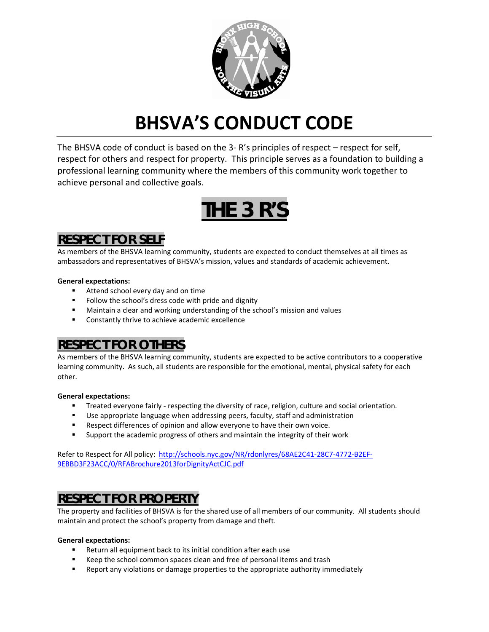

# **BHSVA'S CONDUCT CODE**

The BHSVA code of conduct is based on the 3- R's principles of respect – respect for self, respect for others and respect for property. This principle serves as a foundation to building a professional learning community where the members of this community work together to achieve personal and collective goals.

# **THE 3 R'S**

# **RESPECT FOR SELF**

As members of the BHSVA learning community, students are expected to conduct themselves at all times as ambassadors and representatives of BHSVA's mission, values and standards of academic achievement.

## **General expectations:**

- Attend school every day and on time
- Follow the school's dress code with pride and dignity
- Maintain a clear and working understanding of the school's mission and values
- **EXECONSTANTS** Constantly thrive to achieve academic excellence

# **RESPECT FOR OTHERS**

As members of the BHSVA learning community, students are expected to be active contributors to a cooperative learning community. As such, all students are responsible for the emotional, mental, physical safety for each other.

## **General expectations:**

- **Treated everyone fairly respecting the diversity of race, religion, culture and social orientation.**
- Use appropriate language when addressing peers, faculty, staff and administration
- **Respect differences of opinion and allow everyone to have their own voice.**
- Support the academic progress of others and maintain the integrity of their work

Refer to Respect for All policy: [http://schools.nyc.gov/NR/rdonlyres/68AE2C41-28C7-4772-B2EF-](http://schools.nyc.gov/NR/rdonlyres/68AE2C41-28C7-4772-B2EF-9EBBD3F23ACC/0/RFABrochure2013forDignityActCJC.pdf)[9EBBD3F23ACC/0/RFABrochure2013forDignityActCJC.pdf](http://schools.nyc.gov/NR/rdonlyres/68AE2C41-28C7-4772-B2EF-9EBBD3F23ACC/0/RFABrochure2013forDignityActCJC.pdf)

# **RESPECT FOR PROPERTY**

The property and facilities of BHSVA is for the shared use of all members of our community. All students should maintain and protect the school's property from damage and theft.

#### **General expectations:**

- Return all equipment back to its initial condition after each use
- Keep the school common spaces clean and free of personal items and trash
- Report any violations or damage properties to the appropriate authority immediately